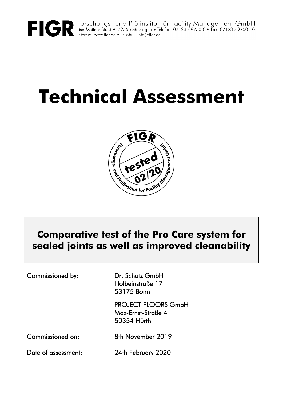

# **Technical Assessment**



# **Comparative test of the Pro Care system for sealed joints as well as improved cleanability**

Commissioned by: Dr. Schutz GmbH

 Holbeinstraße 17 53175 Bonn

 PROJECT FLOORS GmbH Max-Ernst-Straße 4 50354 Hürth

Commissioned on: 8th November 2019

Date of assessment: 24th February 2020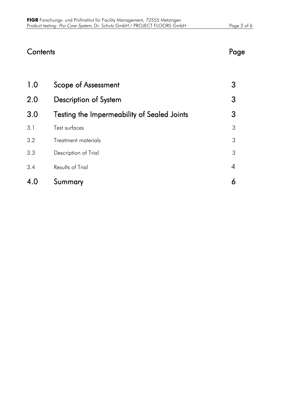| Contents | Page |
|----------|------|
|----------|------|

| 4.0 | Summary                                     |   |
|-----|---------------------------------------------|---|
| 3.4 | Results of Trial                            | 4 |
| 3.3 | Description of Trial                        | 3 |
| 3.2 | Treatment materials                         | 3 |
| 3.1 | Test surfaces                               | 3 |
| 3.0 | Testing the Impermeability of Sealed Joints | 3 |
| 2.0 | Description of System                       | 3 |
| 1.0 | Scope of Assessment                         | 3 |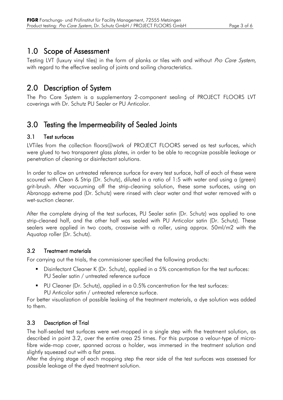# 1.0 Scope of Assessment

Testing LVT (luxury vinyl tiles) in the form of planks or tiles with and without Pro Care System, with regard to the effective sealing of joints and soiling characteristics.

# 2.0 Description of System

The Pro Care System is a supplementary 2-component sealing of PROJECT FLOORS LVT coverings with Dr. Schutz PU Sealer or PU Anticolor.

# 3.0 Testing the Impermeability of Sealed Joints

#### 3.1 Test surfaces

LVTiles from the collection floors@work of PROJECT FLOORS served as test surfaces, which were glued to two transparent glass plates, in order to be able to recognize possible leakage or penetration of cleaning or disinfectant solutions.

In order to allow an untreated reference surface for every test surface, half of each of these were scoured with Clean & Strip (Dr. Schutz), diluted in a ratio of 1:5 with water and using a (green) grit-brush. After vacuuming off the strip-cleaning solution, these same surfaces, using an Abranopp extreme pad (Dr. Schutz) were rinsed with clear water and that water removed with a wet-suction cleaner.

After the complete drying of the test surfaces, PU Sealer satin (Dr. Schutz) was applied to one strip-cleaned half, and the other half was sealed with PU Anticolor satin (Dr. Schutz). These sealers were applied in two coats, crosswise with a roller, using approx. 50ml/m2 with the Aquatop roller (Dr. Schutz).

#### 3.2 Treatment materials

For carrying out the trials, the commissioner specified the following products:

- Disinfectant Cleaner K (Dr. Schutz), applied in a 5% concentration for the test surfaces: PU Sealer satin / untreated reference surface
- PU Cleaner (Dr. Schutz), applied in a 0.5% concentration for the test surfaces: PU Anticolor satin / untreated reference surface.

For better visualization of possible leaking of the treatment materials, a dye solution was added to them.

### 3.3 Description of Trial

The half-sealed test surfaces were wet-mopped in a single step with the treatment solution, as described in point 3.2, over the entire area 25 times. For this purpose a velour-type of microfibre wide-mop cover, spanned across a holder, was immersed in the treatment solution and slightly squeezed out with a flat press.

After the drying stage of each mopping step the rear side of the test surfaces was assessed for possible leakage of the dyed treatment solution.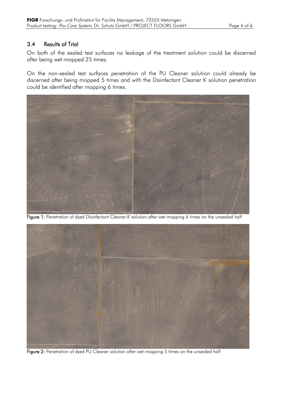#### 3.4 Results of Trial

On both of the sealed test surfaces no leakage of the treatment solution could be discerned after being wet-mopped 25 times.

On the non-sealed test surfaces penetration of the PU Cleaner solution could already be discerned after being mopped 5 times and with the Disinfectant Cleaner K solution penetration could be identified after mopping 6 times.



Figure 1: Penetration of dyed Disinfectant Cleaner K solution after wet-mopping 6 times on the unsealed half



Figure 2: Penetration of dyed PU Cleaner solution after wet-mopping 5 times on the unsealed half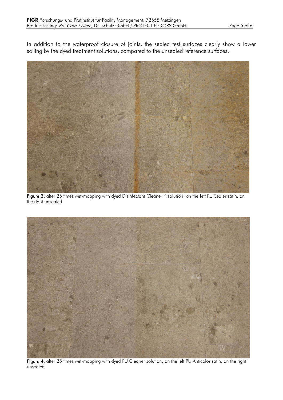In addition to the waterproof closure of joints, the sealed test surfaces clearly show a lower soiling by the dyed treatment solutions, compared to the unsealed reference surfaces.



Figure 3: after 25 times wet-mopping with dyed Disinfectant Cleaner K solution; on the left PU Sealer satin, on the right unsealed



Figure 4: after 25 times wet-mopping with dyed PU Cleaner solution; on the left PU Anticolor satin, on the right unsealed